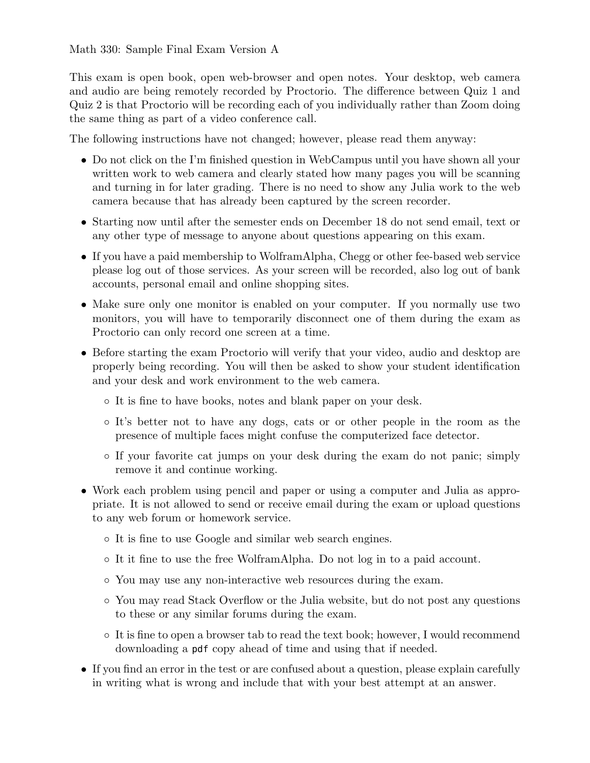This exam is open book, open web-browser and open notes. Your desktop, web camera and audio are being remotely recorded by Proctorio. The difference between Quiz 1 and Quiz 2 is that Proctorio will be recording each of you individually rather than Zoom doing the same thing as part of a video conference call.

The following instructions have not changed; however, please read them anyway:

- Do not click on the I'm finished question in WebCampus until you have shown all your written work to web camera and clearly stated how many pages you will be scanning and turning in for later grading. There is no need to show any Julia work to the web camera because that has already been captured by the screen recorder.
- *•* Starting now until after the semester ends on December 18 do not send email, text or any other type of message to anyone about questions appearing on this exam.
- If you have a paid membership to WolframAlpha, Chegg or other fee-based web service please log out of those services. As your screen will be recorded, also log out of bank accounts, personal email and online shopping sites.
- Make sure only one monitor is enabled on your computer. If you normally use two monitors, you will have to temporarily disconnect one of them during the exam as Proctorio can only record one screen at a time.
- Before starting the exam Proctorio will verify that your video, audio and desktop are properly being recording. You will then be asked to show your student identification and your desk and work environment to the web camera.
	- *◦* It is fine to have books, notes and blank paper on your desk.
	- *◦* It's better not to have any dogs, cats or or other people in the room as the presence of multiple faces might confuse the computerized face detector.
	- *◦* If your favorite cat jumps on your desk during the exam do not panic; simply remove it and continue working.
- *•* Work each problem using pencil and paper or using a computer and Julia as appropriate. It is not allowed to send or receive email during the exam or upload questions to any web forum or homework service.
	- *◦* It is fine to use Google and similar web search engines.
	- *◦* It it fine to use the free WolframAlpha. Do not log in to a paid account.
	- *◦* You may use any non-interactive web resources during the exam.
	- *◦* You may read Stack Overflow or the Julia website, but do not post any questions to these or any similar forums during the exam.
	- *◦* It is fine to open a browser tab to read the text book; however, I would recommend downloading a pdf copy ahead of time and using that if needed.
- If you find an error in the test or are confused about a question, please explain carefully in writing what is wrong and include that with your best attempt at an answer.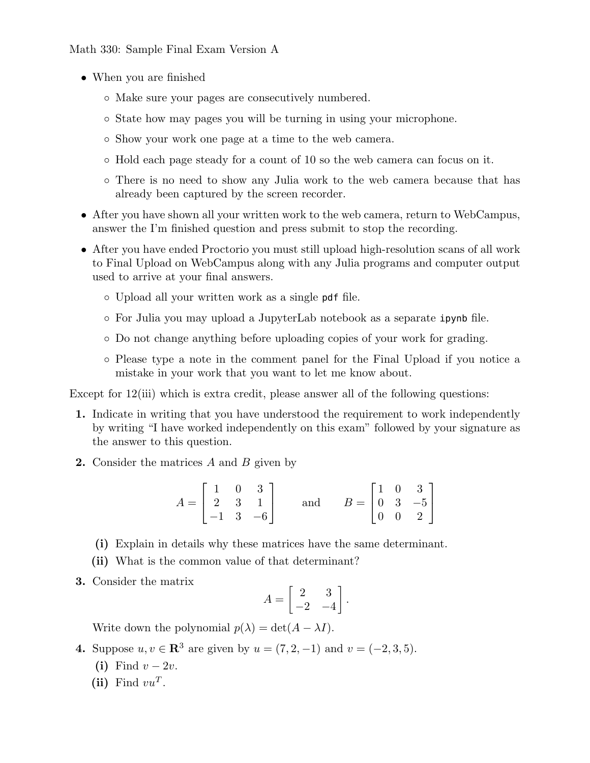- *•* When you are finished
	- *◦* Make sure your pages are consecutively numbered.
	- *◦* State how may pages you will be turning in using your microphone.
	- *◦* Show your work one page at a time to the web camera.
	- *◦* Hold each page steady for a count of 10 so the web camera can focus on it.
	- *◦* There is no need to show any Julia work to the web camera because that has already been captured by the screen recorder.
- After you have shown all your written work to the web camera, return to WebCampus, answer the I'm finished question and press submit to stop the recording.
- *•* After you have ended Proctorio you must still upload high-resolution scans of all work to Final Upload on WebCampus along with any Julia programs and computer output used to arrive at your final answers.
	- *◦* Upload all your written work as a single pdf file.
	- *◦* For Julia you may upload a JupyterLab notebook as a separate ipynb file.
	- *◦* Do not change anything before uploading copies of your work for grading.
	- *◦* Please type a note in the comment panel for the Final Upload if you notice a mistake in your work that you want to let me know about.

Except for 12(iii) which is extra credit, please answer all of the following questions:

- **1.** Indicate in writing that you have understood the requirement to work independently by writing "I have worked independently on this exam" followed by your signature as the answer to this question.
- **2.** Consider the matrices *A* and *B* given by

$$
A = \begin{bmatrix} 1 & 0 & 3 \\ 2 & 3 & 1 \\ -1 & 3 & -6 \end{bmatrix} \quad \text{and} \quad B = \begin{bmatrix} 1 & 0 & 3 \\ 0 & 3 & -5 \\ 0 & 0 & 2 \end{bmatrix}
$$

- **(i)** Explain in details why these matrices have the same determinant.
- **(ii)** What is the common value of that determinant?
- **3.** Consider the matrix

$$
A = \begin{bmatrix} 2 & 3 \\ -2 & -4 \end{bmatrix}.
$$

Write down the polynomial  $p(\lambda) = \det(A - \lambda I)$ .

- **4.** Suppose *u*, *v* ∈  $\mathbb{R}^3$  are given by *u* = (7, 2*,* −1) and *v* = (−2, 3*,* 5).
	- (i) Find  $v 2v$ .
	- (ii) Find  $vu^T$ .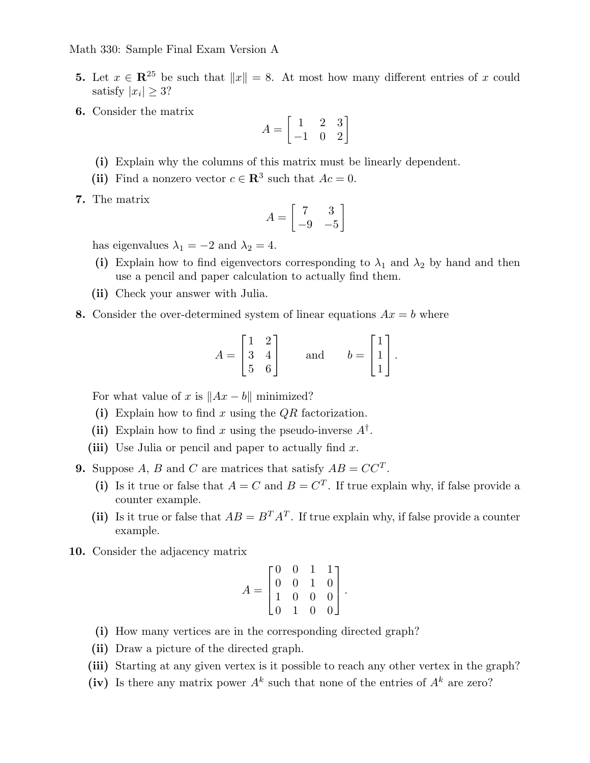- **5.** Let  $x \in \mathbb{R}^{25}$  be such that  $||x|| = 8$ . At most how many different entries of *x* could satisfy  $|x_i| \geq 3$ ?
- **6.** Consider the matrix

$$
A=\begin{bmatrix}1&2&3\\-1&0&2\end{bmatrix}
$$

- **(i)** Explain why the columns of this matrix must be linearly dependent.
- (ii) Find a nonzero vector  $c \in \mathbb{R}^3$  such that  $Ac = 0$ .
- **7.** The matrix

$$
A = \begin{bmatrix} 7 & 3 \\ -9 & -5 \end{bmatrix}
$$

has eigenvalues  $\lambda_1 = -2$  and  $\lambda_2 = 4$ .

- (i) Explain how to find eigenvectors corresponding to  $\lambda_1$  and  $\lambda_2$  by hand and then use a pencil and paper calculation to actually find them.
- **(ii)** Check your answer with Julia.
- **8.** Consider the over-determined system of linear equations  $Ax = b$  where

$$
A = \begin{bmatrix} 1 & 2 \\ 3 & 4 \\ 5 & 6 \end{bmatrix} \quad \text{and} \quad b = \begin{bmatrix} 1 \\ 1 \\ 1 \end{bmatrix}.
$$

For what value of x is  $||Ax - b||$  minimized?

- **(i)** Explain how to find *x* using the *QR* factorization.
- (ii) Explain how to find *x* using the pseudo-inverse  $A^{\dagger}$ .
- **(iii)** Use Julia or pencil and paper to actually find *x*.
- **9.** Suppose *A*, *B* and *C* are matrices that satisfy  $AB = CC^T$ .
	- (i) Is it true or false that  $A = C$  and  $B = C<sup>T</sup>$ . If true explain why, if false provide a counter example.
	- (ii) Is it true or false that  $AB = B^T A^T$ . If true explain why, if false provide a counter example.
- **10.** Consider the adjacency matrix

$$
A = \begin{bmatrix} 0 & 0 & 1 & 1 \\ 0 & 0 & 1 & 0 \\ 1 & 0 & 0 & 0 \\ 0 & 1 & 0 & 0 \end{bmatrix}.
$$

- **(i)** How many vertices are in the corresponding directed graph?
- **(ii)** Draw a picture of the directed graph.
- **(iii)** Starting at any given vertex is it possible to reach any other vertex in the graph?
- (iv) Is there any matrix power  $A^k$  such that none of the entries of  $A^k$  are zero?